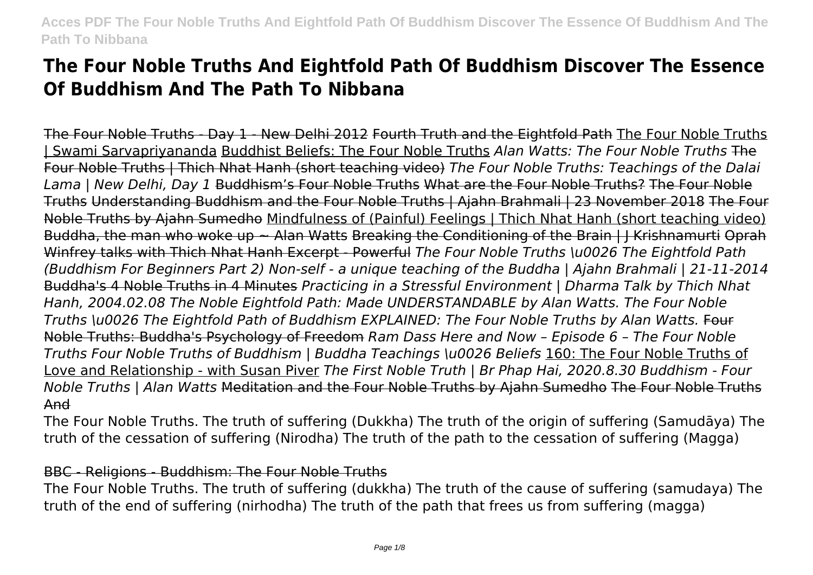# **The Four Noble Truths And Eightfold Path Of Buddhism Discover The Essence Of Buddhism And The Path To Nibbana**

The Four Noble Truths - Day 1 - New Delhi 2012 Fourth Truth and the Eightfold Path The Four Noble Truths | Swami Sarvapriyananda Buddhist Beliefs: The Four Noble Truths *Alan Watts: The Four Noble Truths* The Four Noble Truths | Thich Nhat Hanh (short teaching video) *The Four Noble Truths: Teachings of the Dalai Lama | New Delhi, Day 1* Buddhism's Four Noble Truths What are the Four Noble Truths? The Four Noble Truths Understanding Buddhism and the Four Noble Truths | Ajahn Brahmali | 23 November 2018 The Four Noble Truths by Ajahn Sumedho Mindfulness of (Painful) Feelings | Thich Nhat Hanh (short teaching video) Buddha, the man who woke up ~ Alan Watts Breaking the Conditioning of the Brain | J Krishnamurti Oprah Winfrey talks with Thich Nhat Hanh Excerpt - Powerful *The Four Noble Truths \u0026 The Eightfold Path (Buddhism For Beginners Part 2) Non-self - a unique teaching of the Buddha | Ajahn Brahmali | 21-11-2014* Buddha's 4 Noble Truths in 4 Minutes *Practicing in a Stressful Environment | Dharma Talk by Thich Nhat Hanh, 2004.02.08 The Noble Eightfold Path: Made UNDERSTANDABLE by Alan Watts. The Four Noble Truths \u0026 The Eightfold Path of Buddhism EXPLAINED: The Four Noble Truths by Alan Watts.* Four Noble Truths: Buddha's Psychology of Freedom *Ram Dass Here and Now – Episode 6 – The Four Noble Truths Four Noble Truths of Buddhism | Buddha Teachings \u0026 Beliefs* 160: The Four Noble Truths of Love and Relationship - with Susan Piver *The First Noble Truth | Br Phap Hai, 2020.8.30 Buddhism - Four Noble Truths | Alan Watts* Meditation and the Four Noble Truths by Ajahn Sumedho The Four Noble Truths And

The Four Noble Truths. The truth of suffering (Dukkha) The truth of the origin of suffering (Samudāya) The truth of the cessation of suffering (Nirodha) The truth of the path to the cessation of suffering (Magga)

#### BBC - Religions - Buddhism: The Four Noble Truths

The Four Noble Truths. The truth of suffering (dukkha) The truth of the cause of suffering (samudaya) The truth of the end of suffering (nirhodha) The truth of the path that frees us from suffering (magga)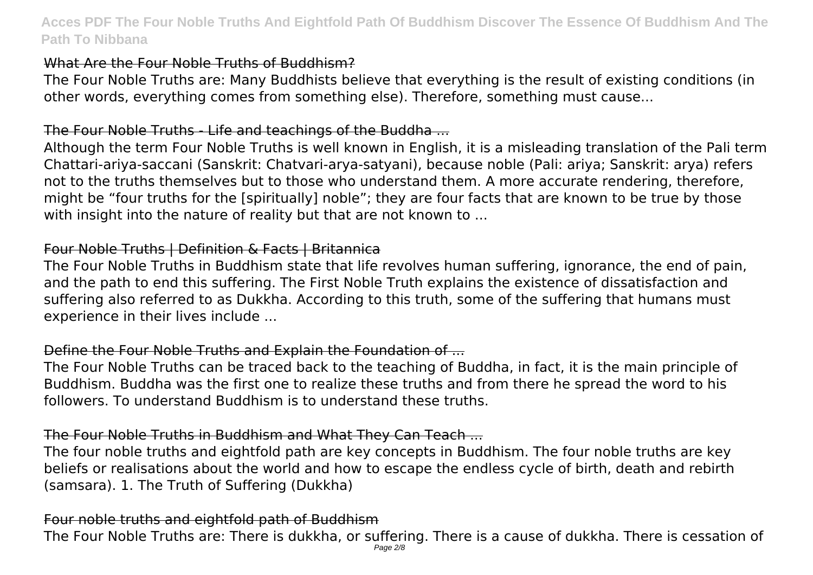#### What Are the Four Noble Truths of Buddhism?

The Four Noble Truths are: Many Buddhists believe that everything is the result of existing conditions (in other words, everything comes from something else). Therefore, something must cause...

## The Four Noble Truths - Life and teachings of the Buddha ...

Although the term Four Noble Truths is well known in English, it is a misleading translation of the Pali term Chattari-ariya-saccani (Sanskrit: Chatvari-arya-satyani), because noble (Pali: ariya; Sanskrit: arya) refers not to the truths themselves but to those who understand them. A more accurate rendering, therefore, might be "four truths for the [spiritually] noble"; they are four facts that are known to be true by those with insight into the nature of reality but that are not known to ...

#### Four Noble Truths | Definition & Facts | Britannica

The Four Noble Truths in Buddhism state that life revolves human suffering, ignorance, the end of pain, and the path to end this suffering. The First Noble Truth explains the existence of dissatisfaction and suffering also referred to as Dukkha. According to this truth, some of the suffering that humans must experience in their lives include ...

# Define the Four Noble Truths and Explain the Foundation of ...

The Four Noble Truths can be traced back to the teaching of Buddha, in fact, it is the main principle of Buddhism. Buddha was the first one to realize these truths and from there he spread the word to his followers. To understand Buddhism is to understand these truths.

## The Four Noble Truths in Buddhism and What They Can Teach ...

The four noble truths and eightfold path are key concepts in Buddhism. The four noble truths are key beliefs or realisations about the world and how to escape the endless cycle of birth, death and rebirth (samsara). 1. The Truth of Suffering (Dukkha)

## Four noble truths and eightfold path of Buddhism

The Four Noble Truths are: There is dukkha, or suffering. There is a cause of dukkha. There is cessation of Page 2/8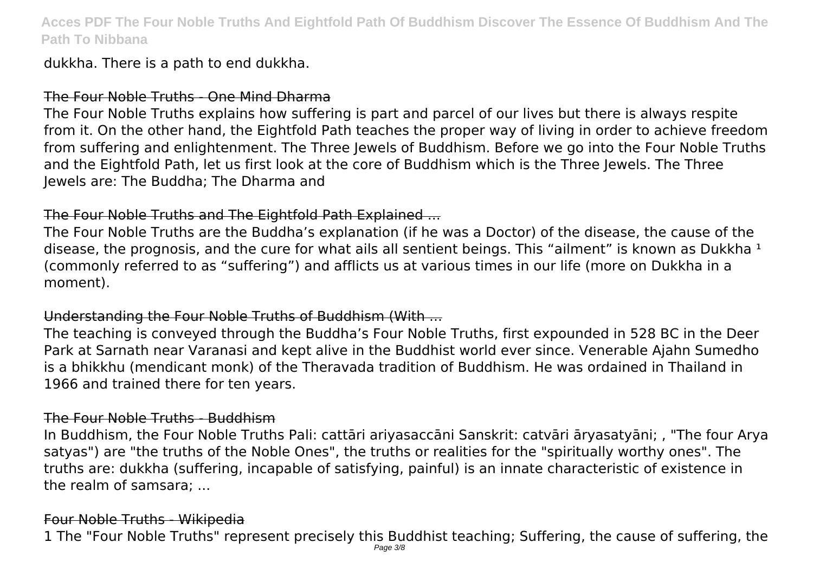dukkha. There is a path to end dukkha.

#### The Four Noble Truths - One Mind Dharma

The Four Noble Truths explains how suffering is part and parcel of our lives but there is always respite from it. On the other hand, the Eightfold Path teaches the proper way of living in order to achieve freedom from suffering and enlightenment. The Three Jewels of Buddhism. Before we go into the Four Noble Truths and the Eightfold Path, let us first look at the core of Buddhism which is the Three Jewels. The Three Jewels are: The Buddha; The Dharma and

## The Four Noble Truths and The Eightfold Path Explained ...

The Four Noble Truths are the Buddha's explanation (if he was a Doctor) of the disease, the cause of the disease, the prognosis, and the cure for what ails all sentient beings. This "ailment" is known as Dukkha  $<sup>1</sup>$ </sup> (commonly referred to as "suffering") and afflicts us at various times in our life (more on Dukkha in a moment).

# Understanding the Four Noble Truths of Buddhism (With ...

The teaching is conveyed through the Buddha's Four Noble Truths, first expounded in 528 BC in the Deer Park at Sarnath near Varanasi and kept alive in the Buddhist world ever since. Venerable Ajahn Sumedho is a bhikkhu (mendicant monk) of the Theravada tradition of Buddhism. He was ordained in Thailand in 1966 and trained there for ten years.

#### The Four Noble Truths - Buddhism

In Buddhism, the Four Noble Truths Pali: cattāri ariyasaccāni Sanskrit: catvāri āryasatyāni; , "The four Arya satyas") are "the truths of the Noble Ones", the truths or realities for the "spiritually worthy ones". The truths are: dukkha (suffering, incapable of satisfying, painful) is an innate characteristic of existence in the realm of samsara; ...

## Four Noble Truths - Wikipedia

1 The "Four Noble Truths" represent precisely this Buddhist teaching; Suffering, the cause of suffering, the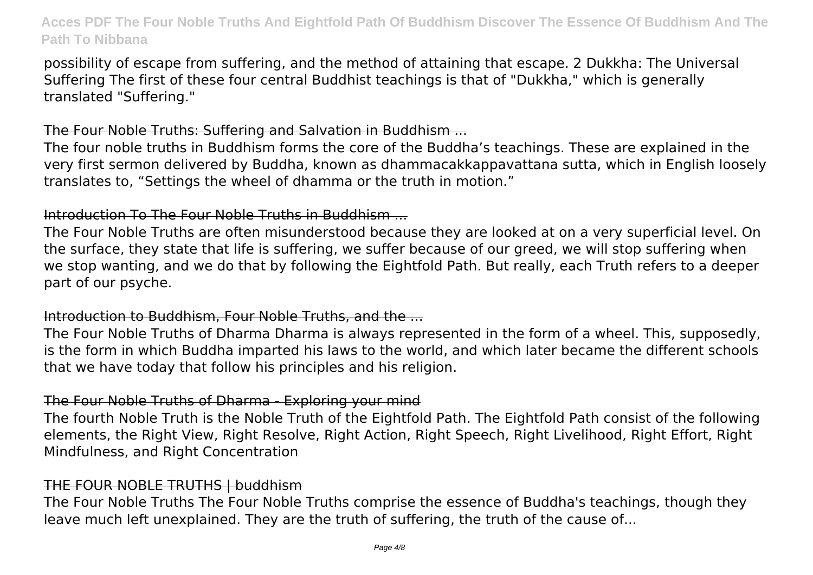possibility of escape from suffering, and the method of attaining that escape. 2 Dukkha: The Universal Suffering The first of these four central Buddhist teachings is that of "Dukkha," which is generally translated "Suffering."

## The Four Noble Truths: Suffering and Salvation in Buddhism ...

The four noble truths in Buddhism forms the core of the Buddha's teachings. These are explained in the very first sermon delivered by Buddha, known as dhammacakkappavattana sutta, which in English loosely translates to, "Settings the wheel of dhamma or the truth in motion."

## Introduction To The Four Noble Truths in Buddhism ...

The Four Noble Truths are often misunderstood because they are looked at on a very superficial level. On the surface, they state that life is suffering, we suffer because of our greed, we will stop suffering when we stop wanting, and we do that by following the Eightfold Path. But really, each Truth refers to a deeper part of our psyche.

## Introduction to Buddhism, Four Noble Truths, and the ...

The Four Noble Truths of Dharma Dharma is always represented in the form of a wheel. This, supposedly, is the form in which Buddha imparted his laws to the world, and which later became the different schools that we have today that follow his principles and his religion.

# The Four Noble Truths of Dharma - Exploring your mind

The fourth Noble Truth is the Noble Truth of the Eightfold Path. The Eightfold Path consist of the following elements, the Right View, Right Resolve, Right Action, Right Speech, Right Livelihood, Right Effort, Right Mindfulness, and Right Concentration

# THE FOUR NOBLE TRUTHS | buddhism

The Four Noble Truths The Four Noble Truths comprise the essence of Buddha's teachings, though they leave much left unexplained. They are the truth of suffering, the truth of the cause of...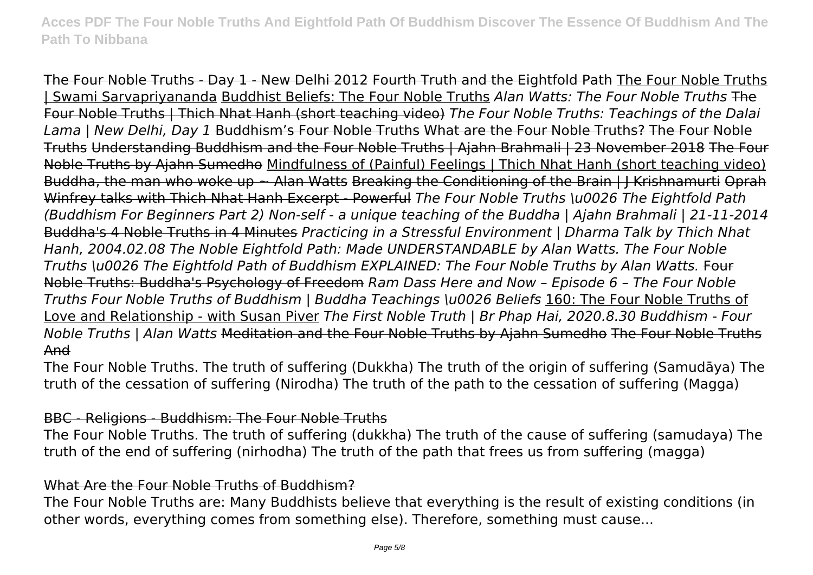The Four Noble Truths - Day 1 - New Delhi 2012 Fourth Truth and the Eightfold Path The Four Noble Truths | Swami Sarvapriyananda Buddhist Beliefs: The Four Noble Truths *Alan Watts: The Four Noble Truths* The Four Noble Truths | Thich Nhat Hanh (short teaching video) *The Four Noble Truths: Teachings of the Dalai Lama | New Delhi, Day 1* Buddhism's Four Noble Truths What are the Four Noble Truths? The Four Noble Truths Understanding Buddhism and the Four Noble Truths | Ajahn Brahmali | 23 November 2018 The Four Noble Truths by Ajahn Sumedho Mindfulness of (Painful) Feelings | Thich Nhat Hanh (short teaching video) Buddha, the man who woke up ~ Alan Watts Breaking the Conditioning of the Brain | J Krishnamurti Oprah Winfrey talks with Thich Nhat Hanh Excerpt - Powerful *The Four Noble Truths \u0026 The Eightfold Path (Buddhism For Beginners Part 2) Non-self - a unique teaching of the Buddha | Ajahn Brahmali | 21-11-2014* Buddha's 4 Noble Truths in 4 Minutes *Practicing in a Stressful Environment | Dharma Talk by Thich Nhat Hanh, 2004.02.08 The Noble Eightfold Path: Made UNDERSTANDABLE by Alan Watts. The Four Noble Truths \u0026 The Eightfold Path of Buddhism EXPLAINED: The Four Noble Truths by Alan Watts.* Four Noble Truths: Buddha's Psychology of Freedom *Ram Dass Here and Now – Episode 6 – The Four Noble Truths Four Noble Truths of Buddhism | Buddha Teachings \u0026 Beliefs* 160: The Four Noble Truths of Love and Relationship - with Susan Piver *The First Noble Truth | Br Phap Hai, 2020.8.30 Buddhism - Four Noble Truths | Alan Watts* Meditation and the Four Noble Truths by Ajahn Sumedho The Four Noble Truths And

The Four Noble Truths. The truth of suffering (Dukkha) The truth of the origin of suffering (Samudāya) The truth of the cessation of suffering (Nirodha) The truth of the path to the cessation of suffering (Magga)

## BBC - Religions - Buddhism: The Four Noble Truths

The Four Noble Truths. The truth of suffering (dukkha) The truth of the cause of suffering (samudaya) The truth of the end of suffering (nirhodha) The truth of the path that frees us from suffering (magga)

## What Are the Four Noble Truths of Buddhism?

The Four Noble Truths are: Many Buddhists believe that everything is the result of existing conditions (in other words, everything comes from something else). Therefore, something must cause...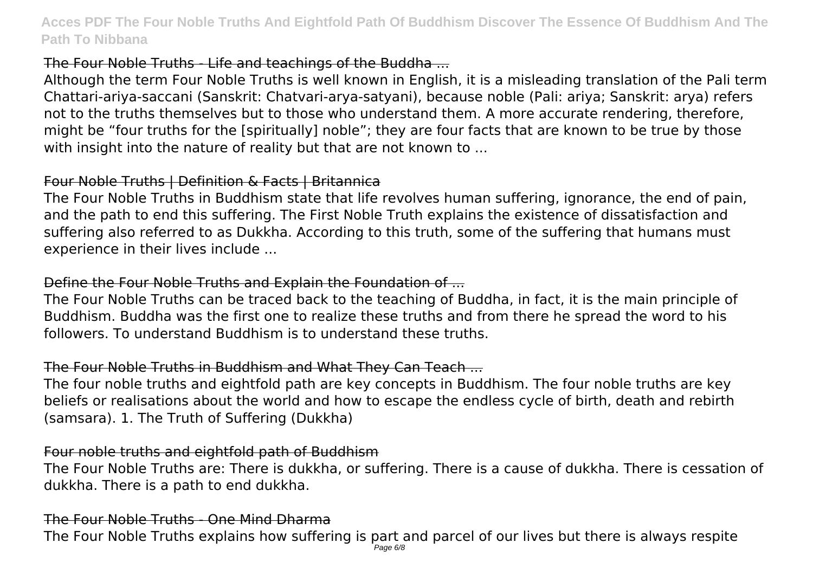# The Four Noble Truths - Life and teachings of the Buddha ...

Although the term Four Noble Truths is well known in English, it is a misleading translation of the Pali term Chattari-ariya-saccani (Sanskrit: Chatvari-arya-satyani), because noble (Pali: ariya; Sanskrit: arya) refers not to the truths themselves but to those who understand them. A more accurate rendering, therefore, might be "four truths for the [spiritually] noble"; they are four facts that are known to be true by those with insight into the nature of reality but that are not known to ...

## Four Noble Truths | Definition & Facts | Britannica

The Four Noble Truths in Buddhism state that life revolves human suffering, ignorance, the end of pain, and the path to end this suffering. The First Noble Truth explains the existence of dissatisfaction and suffering also referred to as Dukkha. According to this truth, some of the suffering that humans must experience in their lives include ...

# Define the Four Noble Truths and Explain the Foundation of ...

The Four Noble Truths can be traced back to the teaching of Buddha, in fact, it is the main principle of Buddhism. Buddha was the first one to realize these truths and from there he spread the word to his followers. To understand Buddhism is to understand these truths.

# The Four Noble Truths in Buddhism and What They Can Teach ...

The four noble truths and eightfold path are key concepts in Buddhism. The four noble truths are key beliefs or realisations about the world and how to escape the endless cycle of birth, death and rebirth (samsara). 1. The Truth of Suffering (Dukkha)

## Four noble truths and eightfold path of Buddhism

The Four Noble Truths are: There is dukkha, or suffering. There is a cause of dukkha. There is cessation of dukkha. There is a path to end dukkha.

# The Four Noble Truths - One Mind Dharma

The Four Noble Truths explains how suffering is part and parcel of our lives but there is always respite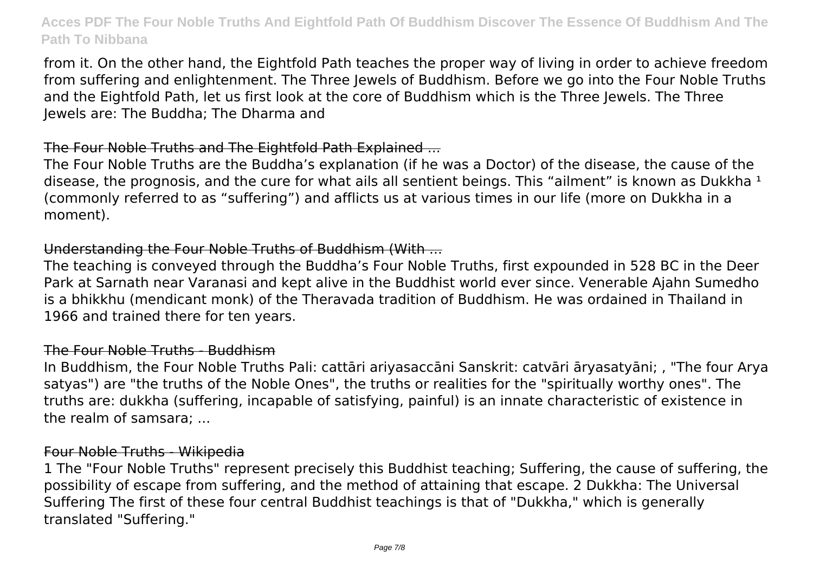from it. On the other hand, the Eightfold Path teaches the proper way of living in order to achieve freedom from suffering and enlightenment. The Three Jewels of Buddhism. Before we go into the Four Noble Truths and the Eightfold Path, let us first look at the core of Buddhism which is the Three Jewels. The Three Jewels are: The Buddha; The Dharma and

## The Four Noble Truths and The Eightfold Path Explained ...

The Four Noble Truths are the Buddha's explanation (if he was a Doctor) of the disease, the cause of the disease, the prognosis, and the cure for what ails all sentient beings. This "ailment" is known as Dukkha  $<sup>1</sup>$ </sup> (commonly referred to as "suffering") and afflicts us at various times in our life (more on Dukkha in a moment).

#### Understanding the Four Noble Truths of Buddhism (With ...

The teaching is conveyed through the Buddha's Four Noble Truths, first expounded in 528 BC in the Deer Park at Sarnath near Varanasi and kept alive in the Buddhist world ever since. Venerable Ajahn Sumedho is a bhikkhu (mendicant monk) of the Theravada tradition of Buddhism. He was ordained in Thailand in 1966 and trained there for ten years.

## The Four Noble Truths - Buddhism

In Buddhism, the Four Noble Truths Pali: cattāri ariyasaccāni Sanskrit: catvāri āryasatyāni; , "The four Arya satyas") are "the truths of the Noble Ones", the truths or realities for the "spiritually worthy ones". The truths are: dukkha (suffering, incapable of satisfying, painful) is an innate characteristic of existence in the realm of samsara; ...

## Four Noble Truths - Wikipedia

1 The "Four Noble Truths" represent precisely this Buddhist teaching; Suffering, the cause of suffering, the possibility of escape from suffering, and the method of attaining that escape. 2 Dukkha: The Universal Suffering The first of these four central Buddhist teachings is that of "Dukkha," which is generally translated "Suffering."